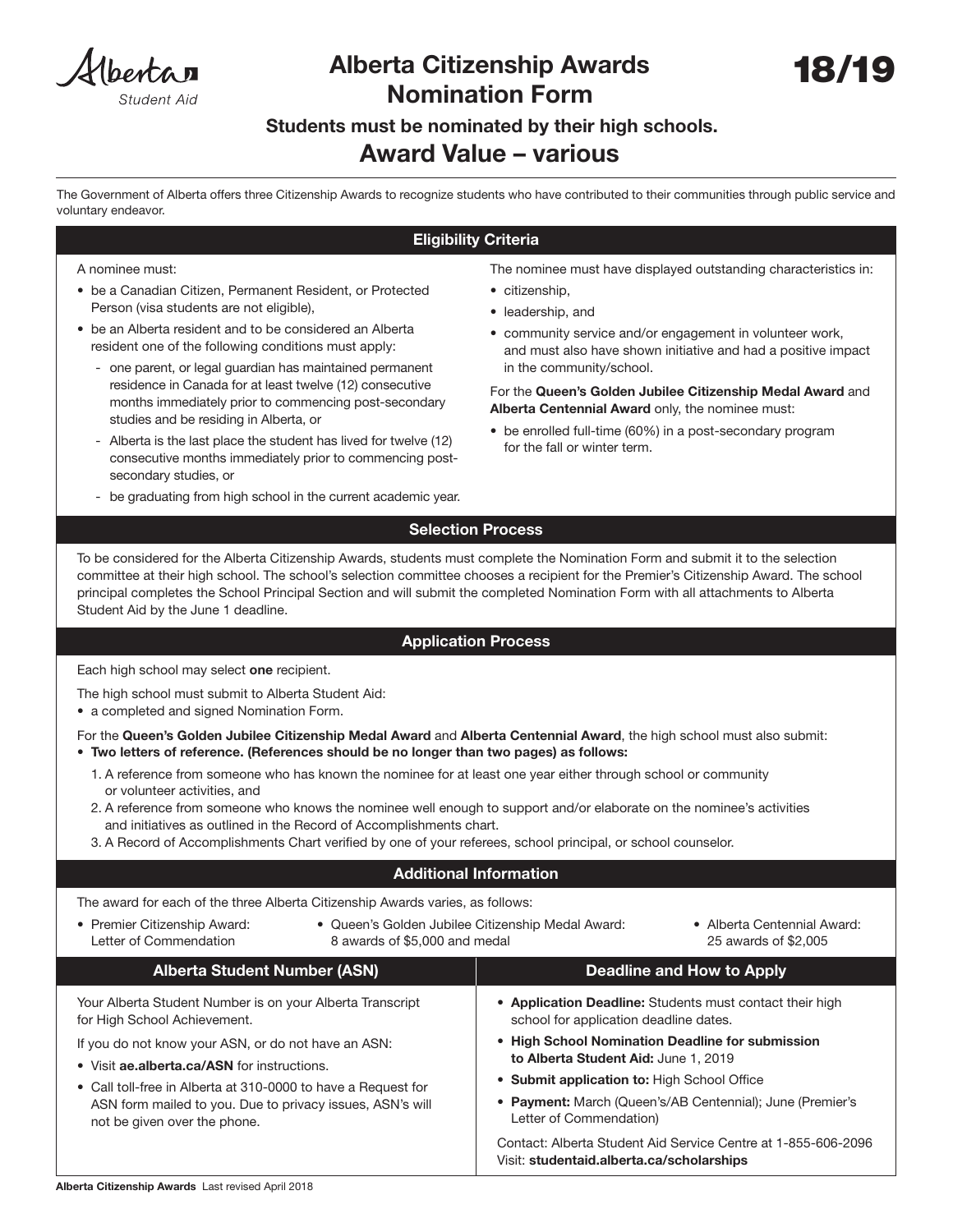Hhenta n Student Aio

# Alberta Citizenship Awards Nomination Form

# Students must be nominated by their high schools.

## Award Value – various

 The Government of Alberta offers three Citizenship Awards to recognize students who have contributed to their communities through public service and voluntary endeavor.

### Eligibility Criteria

#### A nominee must:

- be a Canadian Citizen, Permanent Resident, or Protected Person (visa students are not eligible),
- be an Alberta resident and to be considered an Alberta resident one of the following conditions must apply:
	- one parent, or legal guardian has maintained permanent residence in Canada for at least twelve (12) consecutive months immediately prior to commencing post-secondary studies and be residing in Alberta, or
	- Alberta is the last place the student has lived for twelve (12) consecutive months immediately prior to commencing postsecondary studies, or
	- be graduating from high school in the current academic year.

The nominee must have displayed outstanding characteristics in:

- citizenship,
- leadership, and
- community service and/or engagement in volunteer work, and must also have shown initiative and had a positive impact in the community/school.

For the Queen's Golden Jubilee Citizenship Medal Award and Alberta Centennial Award only, the nominee must:

• be enrolled full-time (60%) in a post-secondary program for the fall or winter term.

• Application Deadline: Students must contact their high

• Payment: March (Queen's/AB Centennial); June (Premier's

Contact: Alberta Student Aid Service Centre at 1-855-606-2096

• High School Nomination Deadline for submission

school for application deadline dates.

to Alberta Student Aid: June 1, 2019 • Submit application to: High School Office

Visit: studentaid.alberta.ca/scholarships

Letter of Commendation)

### Selection Process

To be considered for the Alberta Citizenship Awards, students must complete the Nomination Form and submit it to the selection committee at their high school. The school's selection committee chooses a recipient for the Premier's Citizenship Award. The school principal completes the School Principal Section and will submit the completed Nomination Form with all attachments to Alberta Student Aid by the June 1 deadline.

### Application Process

Each high school may select one recipient.

The high school must submit to Alberta Student Aid:

• a completed and signed Nomination Form.

For the Queen's Golden Jubilee Citizenship Medal Award and Alberta Centennial Award, the high school must also submit:

- Two letters of reference. (References should be no longer than two pages) as follows:
	- 1. A reference from someone who has known the nominee for at least one year either through school or community or volunteer activities, and
	- 2. A reference from someone who knows the nominee well enough to support and/or elaborate on the nominee's activities and initiatives as outlined in the Record of Accomplishments chart.
	- 3. A Record of Accomplishments Chart verified by one of your referees, school principal, or school counselor.

#### Additional Information

The award for each of the three Alberta Citizenship Awards varies, as follows:

• Premier Citizenship Award: Letter of Commendation Alberta Student Number (ASN) Deadline and How to Apply • Queen's Golden Jubilee Citizenship Medal Award: 8 awards of \$5,000 and medal • Alberta Centennial Award: 25 awards of \$2,005

| If you do not know your ASN, or do not have an ASN: |
|-----------------------------------------------------|

Your Alberta Student Number is on your Alberta Transcript

• Visit ae.alberta.ca/ASN for instructions.

for High School Achievement.

• Call toll-free in Alberta at 310-0000 to have a Request for ASN form mailed to you. Due to privacy issues, ASN's will not be given over the phone.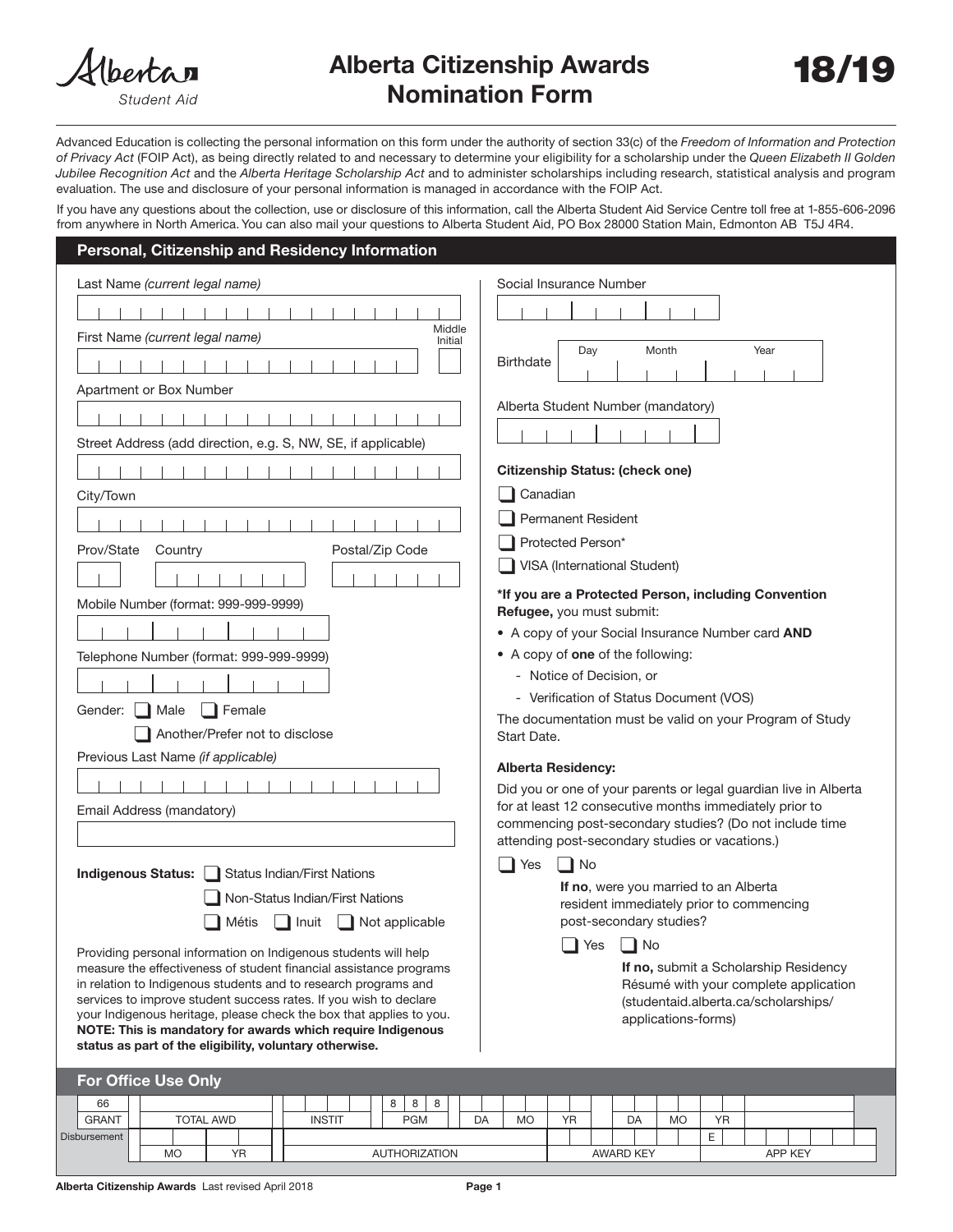

Student Aid

# Alberta Citizenship Awards 18/19 Nomination Form



Advanced Education is collecting the personal information on this form under the authority of section 33(c) of the *Freedom of Information and Protection of Privacy Act* (FOIP Act), as being directly related to and necessary to determine your eligibility for a scholarship under the *Queen Elizabeth II Golden Jubilee Recognition Act* and the *Alberta Heritage Scholarship Act* and to administer scholarships including research, statistical analysis and program evaluation. The use and disclosure of your personal information is managed in accordance with the FOIP Act.

If you have any questions about the collection, use or disclosure of this information, call the Alberta Student Aid Service Centre toll free at 1-855-606-2096 from anywhere in North America. You can also mail your questions to Alberta Student Aid, PO Box 28000 Station Main, Edmonton AB T5J 4R4.

#### Personal, Citizenship and Residency Information

| Middle<br>First Name (current legal name)<br>Initial<br>Month<br>Year<br>Day<br><b>Birthdate</b><br>Apartment or Box Number<br>Alberta Student Number (mandatory)<br>Street Address (add direction, e.g. S, NW, SE, if applicable)<br><b>Citizenship Status: (check one)</b><br>Canadian<br>City/Town<br>Permanent Resident<br>Protected Person*<br>Postal/Zip Code<br>Prov/State<br>Country<br>VISA (International Student)<br>*If you are a Protected Person, including Convention<br>Mobile Number (format: 999-999-9999)<br>Refugee, you must submit:<br>• A copy of your Social Insurance Number card AND<br>• A copy of one of the following:<br>Telephone Number (format: 999-999-9999)<br>- Notice of Decision, or<br>- Verification of Status Document (VOS)<br>Gender:<br>Male<br>Female<br>The documentation must be valid on your Program of Study<br>Another/Prefer not to disclose<br>Start Date.<br>Previous Last Name (if applicable)<br><b>Alberta Residency:</b><br>Did you or one of your parents or legal guardian live in Alberta<br>for at least 12 consecutive months immediately prior to<br>Email Address (mandatory)<br>commencing post-secondary studies? (Do not include time<br>attending post-secondary studies or vacations.)<br>┃ Yes<br>∥ No<br><b>Indigenous Status:</b><br><b>Status Indian/First Nations</b><br>If no, were you married to an Alberta<br>Non-Status Indian/First Nations<br>resident immediately prior to commencing<br>post-secondary studies?<br>Métis<br>Inuit<br>Not applicable<br>No<br>Yes<br>Providing personal information on Indigenous students will help<br>If no, submit a Scholarship Residency<br>measure the effectiveness of student financial assistance programs<br>in relation to Indigenous students and to research programs and<br>Résumé with your complete application<br>services to improve student success rates. If you wish to declare<br>(studentaid.alberta.ca/scholarships/<br>your Indigenous heritage, please check the box that applies to you.<br>applications-forms)<br>NOTE: This is mandatory for awards which require Indigenous<br>status as part of the eligibility, voluntary otherwise.<br><b>For Office Use Only</b><br>8<br>66<br>8<br>8<br><b>INSTIT</b><br>DA<br>YR<br><b>GRANT</b><br><b>TOTAL AWD</b><br><b>PGM</b><br>DA<br><b>MO</b><br>YR<br><b>MO</b> | Last Name (current legal name) | Social Insurance Number |  |  |  |  |
|-----------------------------------------------------------------------------------------------------------------------------------------------------------------------------------------------------------------------------------------------------------------------------------------------------------------------------------------------------------------------------------------------------------------------------------------------------------------------------------------------------------------------------------------------------------------------------------------------------------------------------------------------------------------------------------------------------------------------------------------------------------------------------------------------------------------------------------------------------------------------------------------------------------------------------------------------------------------------------------------------------------------------------------------------------------------------------------------------------------------------------------------------------------------------------------------------------------------------------------------------------------------------------------------------------------------------------------------------------------------------------------------------------------------------------------------------------------------------------------------------------------------------------------------------------------------------------------------------------------------------------------------------------------------------------------------------------------------------------------------------------------------------------------------------------------------------------------------------------------------------------------------------------------------------------------------------------------------------------------------------------------------------------------------------------------------------------------------------------------------------------------------------------------------------------------------------------------------------------------------------------------------------------------------------------------------------------------------------------------------|--------------------------------|-------------------------|--|--|--|--|
|                                                                                                                                                                                                                                                                                                                                                                                                                                                                                                                                                                                                                                                                                                                                                                                                                                                                                                                                                                                                                                                                                                                                                                                                                                                                                                                                                                                                                                                                                                                                                                                                                                                                                                                                                                                                                                                                                                                                                                                                                                                                                                                                                                                                                                                                                                                                                                 |                                |                         |  |  |  |  |
|                                                                                                                                                                                                                                                                                                                                                                                                                                                                                                                                                                                                                                                                                                                                                                                                                                                                                                                                                                                                                                                                                                                                                                                                                                                                                                                                                                                                                                                                                                                                                                                                                                                                                                                                                                                                                                                                                                                                                                                                                                                                                                                                                                                                                                                                                                                                                                 |                                |                         |  |  |  |  |
|                                                                                                                                                                                                                                                                                                                                                                                                                                                                                                                                                                                                                                                                                                                                                                                                                                                                                                                                                                                                                                                                                                                                                                                                                                                                                                                                                                                                                                                                                                                                                                                                                                                                                                                                                                                                                                                                                                                                                                                                                                                                                                                                                                                                                                                                                                                                                                 |                                |                         |  |  |  |  |
|                                                                                                                                                                                                                                                                                                                                                                                                                                                                                                                                                                                                                                                                                                                                                                                                                                                                                                                                                                                                                                                                                                                                                                                                                                                                                                                                                                                                                                                                                                                                                                                                                                                                                                                                                                                                                                                                                                                                                                                                                                                                                                                                                                                                                                                                                                                                                                 |                                |                         |  |  |  |  |
|                                                                                                                                                                                                                                                                                                                                                                                                                                                                                                                                                                                                                                                                                                                                                                                                                                                                                                                                                                                                                                                                                                                                                                                                                                                                                                                                                                                                                                                                                                                                                                                                                                                                                                                                                                                                                                                                                                                                                                                                                                                                                                                                                                                                                                                                                                                                                                 |                                |                         |  |  |  |  |
|                                                                                                                                                                                                                                                                                                                                                                                                                                                                                                                                                                                                                                                                                                                                                                                                                                                                                                                                                                                                                                                                                                                                                                                                                                                                                                                                                                                                                                                                                                                                                                                                                                                                                                                                                                                                                                                                                                                                                                                                                                                                                                                                                                                                                                                                                                                                                                 |                                |                         |  |  |  |  |
|                                                                                                                                                                                                                                                                                                                                                                                                                                                                                                                                                                                                                                                                                                                                                                                                                                                                                                                                                                                                                                                                                                                                                                                                                                                                                                                                                                                                                                                                                                                                                                                                                                                                                                                                                                                                                                                                                                                                                                                                                                                                                                                                                                                                                                                                                                                                                                 |                                |                         |  |  |  |  |
|                                                                                                                                                                                                                                                                                                                                                                                                                                                                                                                                                                                                                                                                                                                                                                                                                                                                                                                                                                                                                                                                                                                                                                                                                                                                                                                                                                                                                                                                                                                                                                                                                                                                                                                                                                                                                                                                                                                                                                                                                                                                                                                                                                                                                                                                                                                                                                 |                                |                         |  |  |  |  |
|                                                                                                                                                                                                                                                                                                                                                                                                                                                                                                                                                                                                                                                                                                                                                                                                                                                                                                                                                                                                                                                                                                                                                                                                                                                                                                                                                                                                                                                                                                                                                                                                                                                                                                                                                                                                                                                                                                                                                                                                                                                                                                                                                                                                                                                                                                                                                                 |                                |                         |  |  |  |  |
|                                                                                                                                                                                                                                                                                                                                                                                                                                                                                                                                                                                                                                                                                                                                                                                                                                                                                                                                                                                                                                                                                                                                                                                                                                                                                                                                                                                                                                                                                                                                                                                                                                                                                                                                                                                                                                                                                                                                                                                                                                                                                                                                                                                                                                                                                                                                                                 |                                |                         |  |  |  |  |
|                                                                                                                                                                                                                                                                                                                                                                                                                                                                                                                                                                                                                                                                                                                                                                                                                                                                                                                                                                                                                                                                                                                                                                                                                                                                                                                                                                                                                                                                                                                                                                                                                                                                                                                                                                                                                                                                                                                                                                                                                                                                                                                                                                                                                                                                                                                                                                 |                                |                         |  |  |  |  |
|                                                                                                                                                                                                                                                                                                                                                                                                                                                                                                                                                                                                                                                                                                                                                                                                                                                                                                                                                                                                                                                                                                                                                                                                                                                                                                                                                                                                                                                                                                                                                                                                                                                                                                                                                                                                                                                                                                                                                                                                                                                                                                                                                                                                                                                                                                                                                                 |                                |                         |  |  |  |  |
|                                                                                                                                                                                                                                                                                                                                                                                                                                                                                                                                                                                                                                                                                                                                                                                                                                                                                                                                                                                                                                                                                                                                                                                                                                                                                                                                                                                                                                                                                                                                                                                                                                                                                                                                                                                                                                                                                                                                                                                                                                                                                                                                                                                                                                                                                                                                                                 |                                |                         |  |  |  |  |
|                                                                                                                                                                                                                                                                                                                                                                                                                                                                                                                                                                                                                                                                                                                                                                                                                                                                                                                                                                                                                                                                                                                                                                                                                                                                                                                                                                                                                                                                                                                                                                                                                                                                                                                                                                                                                                                                                                                                                                                                                                                                                                                                                                                                                                                                                                                                                                 |                                |                         |  |  |  |  |
|                                                                                                                                                                                                                                                                                                                                                                                                                                                                                                                                                                                                                                                                                                                                                                                                                                                                                                                                                                                                                                                                                                                                                                                                                                                                                                                                                                                                                                                                                                                                                                                                                                                                                                                                                                                                                                                                                                                                                                                                                                                                                                                                                                                                                                                                                                                                                                 |                                |                         |  |  |  |  |
|                                                                                                                                                                                                                                                                                                                                                                                                                                                                                                                                                                                                                                                                                                                                                                                                                                                                                                                                                                                                                                                                                                                                                                                                                                                                                                                                                                                                                                                                                                                                                                                                                                                                                                                                                                                                                                                                                                                                                                                                                                                                                                                                                                                                                                                                                                                                                                 |                                |                         |  |  |  |  |
|                                                                                                                                                                                                                                                                                                                                                                                                                                                                                                                                                                                                                                                                                                                                                                                                                                                                                                                                                                                                                                                                                                                                                                                                                                                                                                                                                                                                                                                                                                                                                                                                                                                                                                                                                                                                                                                                                                                                                                                                                                                                                                                                                                                                                                                                                                                                                                 |                                |                         |  |  |  |  |
|                                                                                                                                                                                                                                                                                                                                                                                                                                                                                                                                                                                                                                                                                                                                                                                                                                                                                                                                                                                                                                                                                                                                                                                                                                                                                                                                                                                                                                                                                                                                                                                                                                                                                                                                                                                                                                                                                                                                                                                                                                                                                                                                                                                                                                                                                                                                                                 |                                |                         |  |  |  |  |
|                                                                                                                                                                                                                                                                                                                                                                                                                                                                                                                                                                                                                                                                                                                                                                                                                                                                                                                                                                                                                                                                                                                                                                                                                                                                                                                                                                                                                                                                                                                                                                                                                                                                                                                                                                                                                                                                                                                                                                                                                                                                                                                                                                                                                                                                                                                                                                 |                                |                         |  |  |  |  |
|                                                                                                                                                                                                                                                                                                                                                                                                                                                                                                                                                                                                                                                                                                                                                                                                                                                                                                                                                                                                                                                                                                                                                                                                                                                                                                                                                                                                                                                                                                                                                                                                                                                                                                                                                                                                                                                                                                                                                                                                                                                                                                                                                                                                                                                                                                                                                                 |                                |                         |  |  |  |  |
|                                                                                                                                                                                                                                                                                                                                                                                                                                                                                                                                                                                                                                                                                                                                                                                                                                                                                                                                                                                                                                                                                                                                                                                                                                                                                                                                                                                                                                                                                                                                                                                                                                                                                                                                                                                                                                                                                                                                                                                                                                                                                                                                                                                                                                                                                                                                                                 |                                |                         |  |  |  |  |
|                                                                                                                                                                                                                                                                                                                                                                                                                                                                                                                                                                                                                                                                                                                                                                                                                                                                                                                                                                                                                                                                                                                                                                                                                                                                                                                                                                                                                                                                                                                                                                                                                                                                                                                                                                                                                                                                                                                                                                                                                                                                                                                                                                                                                                                                                                                                                                 |                                |                         |  |  |  |  |
|                                                                                                                                                                                                                                                                                                                                                                                                                                                                                                                                                                                                                                                                                                                                                                                                                                                                                                                                                                                                                                                                                                                                                                                                                                                                                                                                                                                                                                                                                                                                                                                                                                                                                                                                                                                                                                                                                                                                                                                                                                                                                                                                                                                                                                                                                                                                                                 |                                |                         |  |  |  |  |
|                                                                                                                                                                                                                                                                                                                                                                                                                                                                                                                                                                                                                                                                                                                                                                                                                                                                                                                                                                                                                                                                                                                                                                                                                                                                                                                                                                                                                                                                                                                                                                                                                                                                                                                                                                                                                                                                                                                                                                                                                                                                                                                                                                                                                                                                                                                                                                 |                                |                         |  |  |  |  |
|                                                                                                                                                                                                                                                                                                                                                                                                                                                                                                                                                                                                                                                                                                                                                                                                                                                                                                                                                                                                                                                                                                                                                                                                                                                                                                                                                                                                                                                                                                                                                                                                                                                                                                                                                                                                                                                                                                                                                                                                                                                                                                                                                                                                                                                                                                                                                                 |                                |                         |  |  |  |  |
|                                                                                                                                                                                                                                                                                                                                                                                                                                                                                                                                                                                                                                                                                                                                                                                                                                                                                                                                                                                                                                                                                                                                                                                                                                                                                                                                                                                                                                                                                                                                                                                                                                                                                                                                                                                                                                                                                                                                                                                                                                                                                                                                                                                                                                                                                                                                                                 |                                |                         |  |  |  |  |
|                                                                                                                                                                                                                                                                                                                                                                                                                                                                                                                                                                                                                                                                                                                                                                                                                                                                                                                                                                                                                                                                                                                                                                                                                                                                                                                                                                                                                                                                                                                                                                                                                                                                                                                                                                                                                                                                                                                                                                                                                                                                                                                                                                                                                                                                                                                                                                 |                                |                         |  |  |  |  |
|                                                                                                                                                                                                                                                                                                                                                                                                                                                                                                                                                                                                                                                                                                                                                                                                                                                                                                                                                                                                                                                                                                                                                                                                                                                                                                                                                                                                                                                                                                                                                                                                                                                                                                                                                                                                                                                                                                                                                                                                                                                                                                                                                                                                                                                                                                                                                                 |                                |                         |  |  |  |  |
|                                                                                                                                                                                                                                                                                                                                                                                                                                                                                                                                                                                                                                                                                                                                                                                                                                                                                                                                                                                                                                                                                                                                                                                                                                                                                                                                                                                                                                                                                                                                                                                                                                                                                                                                                                                                                                                                                                                                                                                                                                                                                                                                                                                                                                                                                                                                                                 |                                |                         |  |  |  |  |
|                                                                                                                                                                                                                                                                                                                                                                                                                                                                                                                                                                                                                                                                                                                                                                                                                                                                                                                                                                                                                                                                                                                                                                                                                                                                                                                                                                                                                                                                                                                                                                                                                                                                                                                                                                                                                                                                                                                                                                                                                                                                                                                                                                                                                                                                                                                                                                 |                                |                         |  |  |  |  |
|                                                                                                                                                                                                                                                                                                                                                                                                                                                                                                                                                                                                                                                                                                                                                                                                                                                                                                                                                                                                                                                                                                                                                                                                                                                                                                                                                                                                                                                                                                                                                                                                                                                                                                                                                                                                                                                                                                                                                                                                                                                                                                                                                                                                                                                                                                                                                                 |                                |                         |  |  |  |  |
|                                                                                                                                                                                                                                                                                                                                                                                                                                                                                                                                                                                                                                                                                                                                                                                                                                                                                                                                                                                                                                                                                                                                                                                                                                                                                                                                                                                                                                                                                                                                                                                                                                                                                                                                                                                                                                                                                                                                                                                                                                                                                                                                                                                                                                                                                                                                                                 |                                |                         |  |  |  |  |
|                                                                                                                                                                                                                                                                                                                                                                                                                                                                                                                                                                                                                                                                                                                                                                                                                                                                                                                                                                                                                                                                                                                                                                                                                                                                                                                                                                                                                                                                                                                                                                                                                                                                                                                                                                                                                                                                                                                                                                                                                                                                                                                                                                                                                                                                                                                                                                 |                                |                         |  |  |  |  |
| E.<br>Disbursement                                                                                                                                                                                                                                                                                                                                                                                                                                                                                                                                                                                                                                                                                                                                                                                                                                                                                                                                                                                                                                                                                                                                                                                                                                                                                                                                                                                                                                                                                                                                                                                                                                                                                                                                                                                                                                                                                                                                                                                                                                                                                                                                                                                                                                                                                                                                              |                                |                         |  |  |  |  |

MO YR AUTHORIZATION AWARD KEY APP KEY APP KEY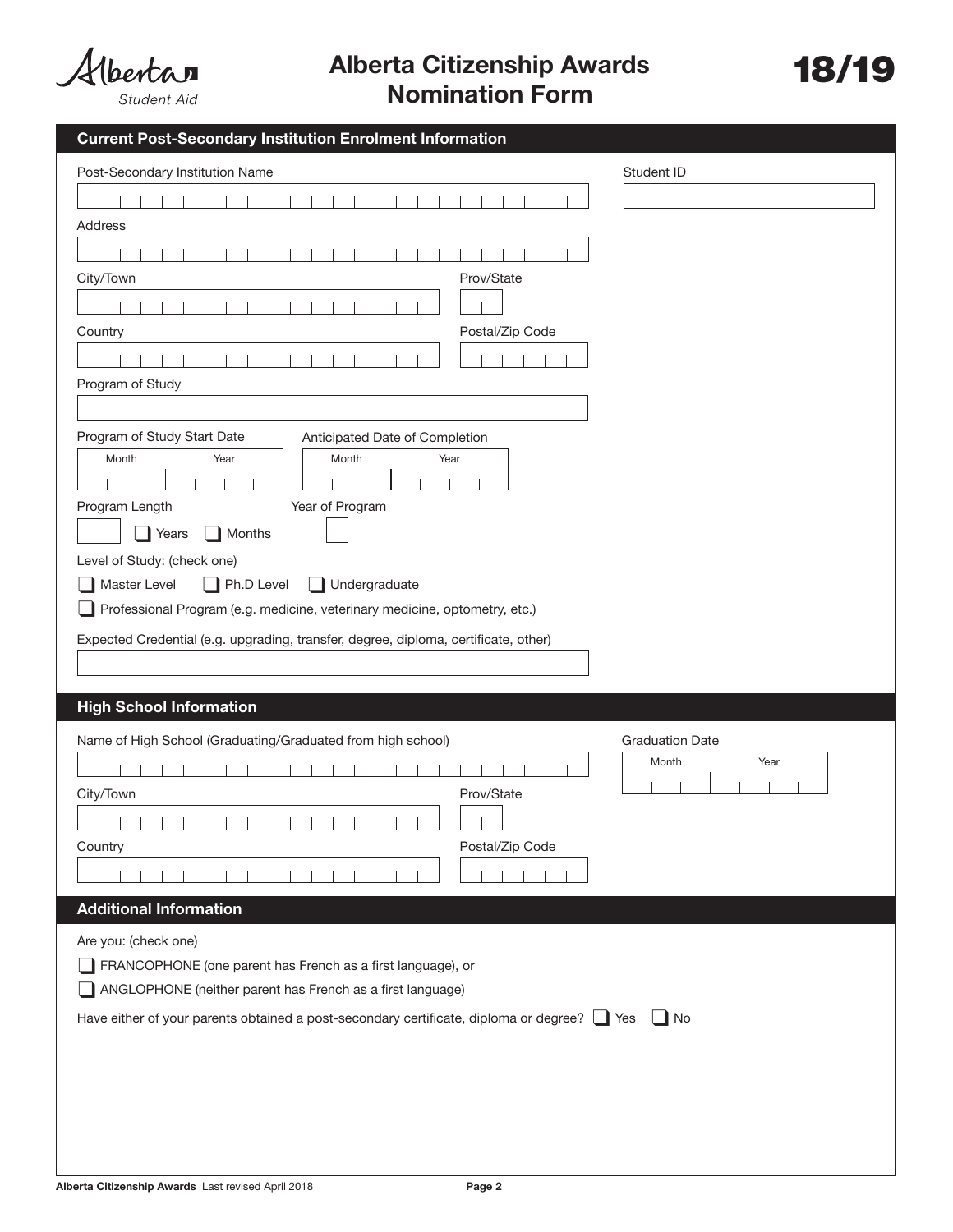

Alberta Citizenship Awards 18/19 Nomination Form

| <b>Current Post-Secondary Institution Enrolment Information</b>                                  |                        |
|--------------------------------------------------------------------------------------------------|------------------------|
| Post-Secondary Institution Name                                                                  | Student ID             |
|                                                                                                  |                        |
| Address                                                                                          |                        |
|                                                                                                  |                        |
| City/Town<br>Prov/State                                                                          |                        |
|                                                                                                  |                        |
| Postal/Zip Code<br>Country                                                                       |                        |
|                                                                                                  |                        |
| Program of Study                                                                                 |                        |
|                                                                                                  |                        |
| Program of Study Start Date<br>Anticipated Date of Completion                                    |                        |
| Month<br>Year<br>Month<br>Year                                                                   |                        |
|                                                                                                  |                        |
| Year of Program<br>Program Length                                                                |                        |
| Years<br>Months                                                                                  |                        |
| Level of Study: (check one)<br>$\Box$ Ph.D Level<br>Master Level<br>$\Box$ Undergraduate         |                        |
| Professional Program (e.g. medicine, veterinary medicine, optometry, etc.)                       |                        |
| Expected Credential (e.g. upgrading, transfer, degree, diploma, certificate, other)              |                        |
|                                                                                                  |                        |
|                                                                                                  |                        |
| <b>High School Information</b>                                                                   |                        |
| Name of High School (Graduating/Graduated from high school)                                      | <b>Graduation Date</b> |
|                                                                                                  | Year<br>Month          |
| Prov/State<br>City/Town                                                                          |                        |
| .                                                                                                |                        |
| Postal/Zip Code<br>Country                                                                       |                        |
|                                                                                                  |                        |
| <b>Additional Information</b>                                                                    |                        |
| Are you: (check one)                                                                             |                        |
| FRANCOPHONE (one parent has French as a first language), or                                      |                        |
| ANGLOPHONE (neither parent has French as a first language)                                       |                        |
| Have either of your parents obtained a post-secondary certificate, diploma or degree? $\Box$ Yes | ∣ ∥No                  |
|                                                                                                  |                        |
|                                                                                                  |                        |
|                                                                                                  |                        |
|                                                                                                  |                        |
|                                                                                                  |                        |